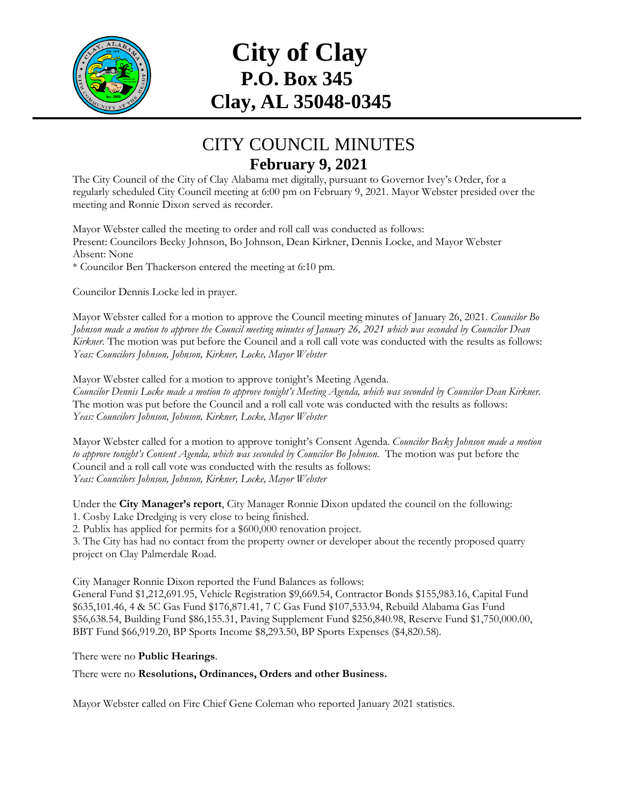

## **City of Clay P.O. Box 345 Clay, AL 35048-0345**

## CITY COUNCIL MINUTES **February 9, 2021**

The City Council of the City of Clay Alabama met digitally, pursuant to Governor Ivey's Order, for a regularly scheduled City Council meeting at 6:00 pm on February 9, 2021. Mayor Webster presided over the meeting and Ronnie Dixon served as recorder.

Mayor Webster called the meeting to order and roll call was conducted as follows: Present: Councilors Becky Johnson, Bo Johnson, Dean Kirkner, Dennis Locke, and Mayor Webster Absent: None

\* Councilor Ben Thackerson entered the meeting at 6:10 pm.

Councilor Dennis Locke led in prayer.

Mayor Webster called for a motion to approve the Council meeting minutes of January 26, 2021. *Councilor Bo Johnson made a motion to approve the Council meeting minutes of January 26, 2021 which was seconded by Councilor Dean Kirkner.* The motion was put before the Council and a roll call vote was conducted with the results as follows: *Yeas: Councilors Johnson, Johnson, Kirkner, Locke, Mayor Webster*

Mayor Webster called for a motion to approve tonight's Meeting Agenda.

*Councilor Dennis Locke made a motion to approve tonight's Meeting Agenda, which was seconded by Councilor Dean Kirkner.* The motion was put before the Council and a roll call vote was conducted with the results as follows: *Yeas: Councilors Johnson, Johnson, Kirkner, Locke, Mayor Webster* 

Mayor Webster called for a motion to approve tonight's Consent Agenda. *Councilor Becky Johnson made a motion to approve tonight's Consent Agenda, which was seconded by Councilor Bo Johnson.* The motion was put before the Council and a roll call vote was conducted with the results as follows: *Yeas: Councilors Johnson, Johnson, Kirkner, Locke, Mayor Webster*

Under the **City Manager's report**, City Manager Ronnie Dixon updated the council on the following: 1. Cosby Lake Dredging is very close to being finished.

2. Publix has applied for permits for a \$600,000 renovation project.

3. The City has had no contact from the property owner or developer about the recently proposed quarry project on Clay Palmerdale Road.

City Manager Ronnie Dixon reported the Fund Balances as follows:

General Fund \$1,212,691.95, Vehicle Registration \$9,669.54, Contractor Bonds \$155,983.16, Capital Fund \$635,101.46, 4 & 5C Gas Fund \$176,871.41, 7 C Gas Fund \$107,533.94, Rebuild Alabama Gas Fund \$56,638.54, Building Fund \$86,155.31, Paving Supplement Fund \$256,840.98, Reserve Fund \$1,750,000.00, BBT Fund \$66,919.20, BP Sports Income \$8,293.50, BP Sports Expenses (\$4,820.58).

## There were no **Public Hearings**.

There were no **Resolutions, Ordinances, Orders and other Business.**

Mayor Webster called on Fire Chief Gene Coleman who reported January 2021 statistics.